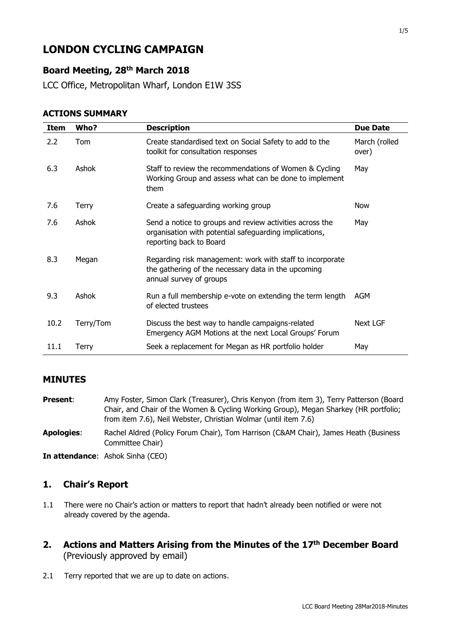# **LONDON CYCLING CAMPAIGN**

# **Board Meeting, 28th March 2018**

LCC Office, Metropolitan Wharf, London E1W 3SS

| <b>ACTIONS SUMMARY</b> |
|------------------------|
|------------------------|

| Item | Who?      | <b>Description</b>                                                                                                                            | <b>Due Date</b>        |
|------|-----------|-----------------------------------------------------------------------------------------------------------------------------------------------|------------------------|
| 2.2  | Tom       | Create standardised text on Social Safety to add to the<br>toolkit for consultation responses                                                 | March (rolled<br>over) |
| 6.3  | Ashok     | Staff to review the recommendations of Women & Cycling<br>Working Group and assess what can be done to implement<br>them                      | May                    |
| 7.6  | Terry     | Create a safeguarding working group                                                                                                           | Now                    |
| 7.6  | Ashok     | Send a notice to groups and review activities across the<br>organisation with potential safeguarding implications,<br>reporting back to Board | May                    |
| 8.3  | Megan     | Regarding risk management: work with staff to incorporate<br>the gathering of the necessary data in the upcoming<br>annual survey of groups   |                        |
| 9.3  | Ashok     | Run a full membership e-vote on extending the term length<br>of elected trustees                                                              | AGM                    |
| 10.2 | Terry/Tom | Discuss the best way to handle campaigns-related<br>Emergency AGM Motions at the next Local Groups' Forum                                     | <b>Next LGF</b>        |
| 11.1 | Terry     | Seek a replacement for Megan as HR portfolio holder                                                                                           | May                    |

### **MINUTES**

- Present: Amy Foster, Simon Clark (Treasurer), Chris Kenyon (from item 3), Terry Patterson (Board Chair, and Chair of the Women & Cycling Working Group), Megan Sharkey (HR portfolio; from item 7.6), Neil Webster, Christian Wolmar (until item 7.6)
- **Apologies**: Rachel Aldred (Policy Forum Chair), Tom Harrison (C&AM Chair), James Heath (Business Committee Chair)

**In attendance**: Ashok Sinha (CEO)

### **1. Chair's Report**

- 1.1 There were no Chair's action or matters to report that hadn't already been notified or were not already covered by the agenda.
- **2. Actions and Matters Arising from the Minutes of the 17th December Board**  (Previously approved by email)
- 2.1 Terry reported that we are up to date on actions.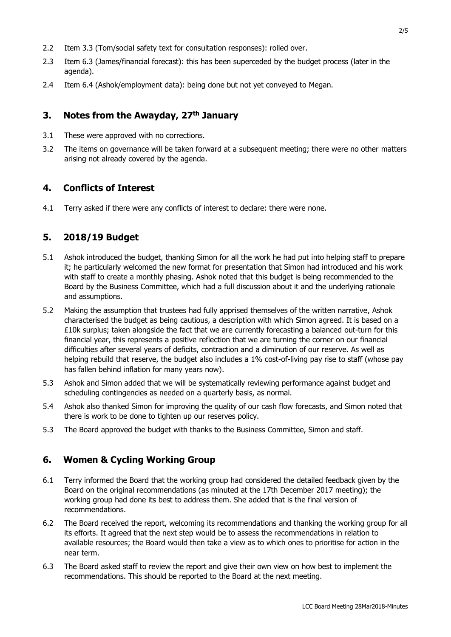- 2.2 Item 3.3 (Tom/social safety text for consultation responses): rolled over.
- 2.3 Item 6.3 (James/financial forecast): this has been superceded by the budget process (later in the agenda).
- 2.4 Item 6.4 (Ashok/employment data): being done but not yet conveyed to Megan.

#### **3. Notes from the Awayday, 27th January**

- 3.1 These were approved with no corrections.
- 3.2 The items on governance will be taken forward at a subsequent meeting; there were no other matters arising not already covered by the agenda.

### **4. Conflicts of Interest**

4.1 Terry asked if there were any conflicts of interest to declare: there were none.

### **5. 2018/19 Budget**

- 5.1 Ashok introduced the budget, thanking Simon for all the work he had put into helping staff to prepare it; he particularly welcomed the new format for presentation that Simon had introduced and his work with staff to create a monthly phasing. Ashok noted that this budget is being recommended to the Board by the Business Committee, which had a full discussion about it and the underlying rationale and assumptions.
- 5.2 Making the assumption that trustees had fully apprised themselves of the written narrative, Ashok characterised the budget as being cautious, a description with which Simon agreed. It is based on a £10k surplus; taken alongside the fact that we are currently forecasting a balanced out-turn for this financial year, this represents a positive reflection that we are turning the corner on our financial difficulties after several years of deficits, contraction and a diminution of our reserve. As well as helping rebuild that reserve, the budget also includes a 1% cost-of-living pay rise to staff (whose pay has fallen behind inflation for many years now).
- 5.3 Ashok and Simon added that we will be systematically reviewing performance against budget and scheduling contingencies as needed on a quarterly basis, as normal.
- 5.4 Ashok also thanked Simon for improving the quality of our cash flow forecasts, and Simon noted that there is work to be done to tighten up our reserves policy.
- 5.3 The Board approved the budget with thanks to the Business Committee, Simon and staff.

### **6. Women & Cycling Working Group**

- 6.1 Terry informed the Board that the working group had considered the detailed feedback given by the Board on the original recommendations (as minuted at the 17th December 2017 meeting); the working group had done its best to address them. She added that is the final version of recommendations.
- 6.2 The Board received the report, welcoming its recommendations and thanking the working group for all its efforts. It agreed that the next step would be to assess the recommendations in relation to available resources; the Board would then take a view as to which ones to prioritise for action in the near term.
- 6.3 The Board asked staff to review the report and give their own view on how best to implement the recommendations. This should be reported to the Board at the next meeting.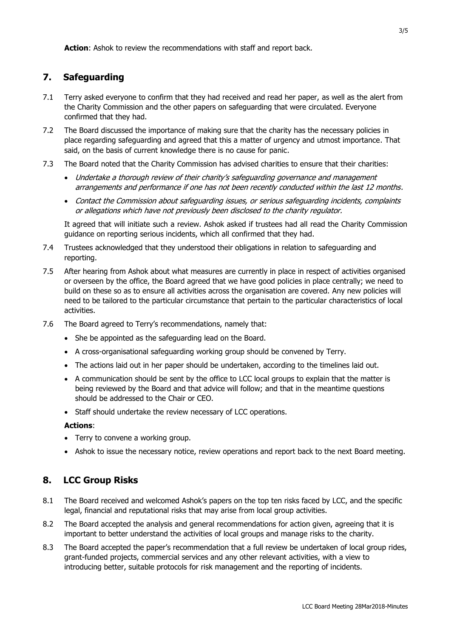**Action**: Ashok to review the recommendations with staff and report back.

# **7. Safeguarding**

- 7.1 Terry asked everyone to confirm that they had received and read her paper, as well as the alert from the Charity Commission and the other papers on safeguarding that were circulated. Everyone confirmed that they had.
- 7.2 The Board discussed the importance of making sure that the charity has the necessary policies in place regarding safeguarding and agreed that this a matter of urgency and utmost importance. That said, on the basis of current knowledge there is no cause for panic.
- 7.3 The Board noted that the Charity Commission has advised charities to ensure that their charities:
	- Undertake a thorough review of their charity's safeguarding governance and management arrangements and performance if one has not been recently conducted within the last 12 months.
	- Contact the Commission about safeguarding issues, or serious safeguarding incidents, complaints or allegations which have not previously been disclosed to the charity regulator.

It agreed that will initiate such a review. Ashok asked if trustees had all read the Charity Commission guidance on reporting serious incidents, which all confirmed that they had.

- 7.4 Trustees acknowledged that they understood their obligations in relation to safeguarding and reporting.
- 7.5 After hearing from Ashok about what measures are currently in place in respect of activities organised or overseen by the office, the Board agreed that we have good policies in place centrally; we need to build on these so as to ensure all activities across the organisation are covered. Any new policies will need to be tailored to the particular circumstance that pertain to the particular characteristics of local activities.
- 7.6 The Board agreed to Terry's recommendations, namely that:
	- She be appointed as the safeguarding lead on the Board.
	- A cross-organisational safeguarding working group should be convened by Terry.
	- The actions laid out in her paper should be undertaken, according to the timelines laid out.
	- A communication should be sent by the office to LCC local groups to explain that the matter is being reviewed by the Board and that advice will follow; and that in the meantime questions should be addressed to the Chair or CEO.
	- Staff should undertake the review necessary of LCC operations.

**Actions**:

- Terry to convene a working group.
- Ashok to issue the necessary notice, review operations and report back to the next Board meeting.

# **8. LCC Group Risks**

- 8.1 The Board received and welcomed Ashok's papers on the top ten risks faced by LCC, and the specific legal, financial and reputational risks that may arise from local group activities.
- 8.2 The Board accepted the analysis and general recommendations for action given, agreeing that it is important to better understand the activities of local groups and manage risks to the charity.
- 8.3 The Board accepted the paper's recommendation that a full review be undertaken of local group rides, grant-funded projects, commercial services and any other relevant activities, with a view to introducing better, suitable protocols for risk management and the reporting of incidents.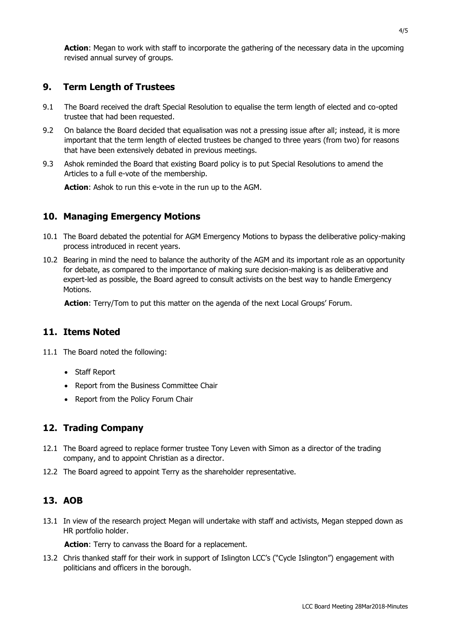**Action**: Megan to work with staff to incorporate the gathering of the necessary data in the upcoming revised annual survey of groups.

## **9. Term Length of Trustees**

- 9.1 The Board received the draft Special Resolution to equalise the term length of elected and co-opted trustee that had been requested.
- 9.2 On balance the Board decided that equalisation was not a pressing issue after all; instead, it is more important that the term length of elected trustees be changed to three years (from two) for reasons that have been extensively debated in previous meetings.
- 9.3 Ashok reminded the Board that existing Board policy is to put Special Resolutions to amend the Articles to a full e-vote of the membership.

**Action**: Ashok to run this e-vote in the run up to the AGM.

### **10. Managing Emergency Motions**

- 10.1 The Board debated the potential for AGM Emergency Motions to bypass the deliberative policy-making process introduced in recent years.
- 10.2 Bearing in mind the need to balance the authority of the AGM and its important role as an opportunity for debate, as compared to the importance of making sure decision-making is as deliberative and expert-led as possible, the Board agreed to consult activists on the best way to handle Emergency Motions.

**Action**: Terry/Tom to put this matter on the agenda of the next Local Groups' Forum.

#### **11. Items Noted**

- 11.1 The Board noted the following:
	- Staff Report
	- Report from the Business Committee Chair
	- Report from the Policy Forum Chair

### **12. Trading Company**

- 12.1 The Board agreed to replace former trustee Tony Leven with Simon as a director of the trading company, and to appoint Christian as a director.
- 12.2 The Board agreed to appoint Terry as the shareholder representative.

### **13. AOB**

13.1 In view of the research project Megan will undertake with staff and activists, Megan stepped down as HR portfolio holder.

Action: Terry to canvass the Board for a replacement.

13.2 Chris thanked staff for their work in support of Islington LCC's ("Cycle Islington") engagement with politicians and officers in the borough.